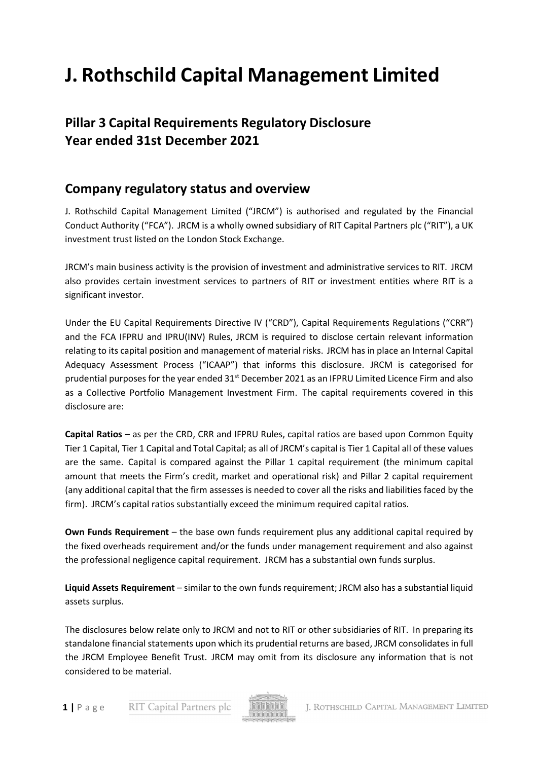# **J. Rothschild Capital Management Limited**

# **Pillar 3 Capital Requirements Regulatory Disclosure Year ended 31st December 2021**

## **Company regulatory status and overview**

J. Rothschild Capital Management Limited ("JRCM") is authorised and regulated by the Financial Conduct Authority ("FCA"). JRCM is a wholly owned subsidiary of RIT Capital Partners plc ("RIT"), a UK investment trust listed on the London Stock Exchange.

JRCM's main business activity is the provision of investment and administrative services to RIT. JRCM also provides certain investment services to partners of RIT or investment entities where RIT is a significant investor.

Under the EU Capital Requirements Directive IV ("CRD"), Capital Requirements Regulations ("CRR") and the FCA IFPRU and IPRU(INV) Rules, JRCM is required to disclose certain relevant information relating to its capital position and management of material risks. JRCM has in place an Internal Capital Adequacy Assessment Process ("ICAAP") that informs this disclosure. JRCM is categorised for prudential purposes for the year ended 31<sup>st</sup> December 2021 as an IFPRU Limited Licence Firm and also as a Collective Portfolio Management Investment Firm. The capital requirements covered in this disclosure are:

**Capital Ratios** – as per the CRD, CRR and IFPRU Rules, capital ratios are based upon Common Equity Tier 1 Capital, Tier 1 Capital and Total Capital; as all of JRCM's capital is Tier 1 Capital all of these values are the same. Capital is compared against the Pillar 1 capital requirement (the minimum capital amount that meets the Firm's credit, market and operational risk) and Pillar 2 capital requirement (any additional capital that the firm assesses is needed to cover all the risks and liabilities faced by the firm). JRCM's capital ratios substantially exceed the minimum required capital ratios.

**Own Funds Requirement** – the base own funds requirement plus any additional capital required by the fixed overheads requirement and/or the funds under management requirement and also against the professional negligence capital requirement. JRCM has a substantial own funds surplus.

**Liquid Assets Requirement** – similar to the own funds requirement; JRCM also has a substantial liquid assets surplus.

The disclosures below relate only to JRCM and not to RIT or other subsidiaries of RIT. In preparing its standalone financial statements upon which its prudential returns are based, JRCM consolidatesin full the JRCM Employee Benefit Trust. JRCM may omit from its disclosure any information that is not considered to be material.

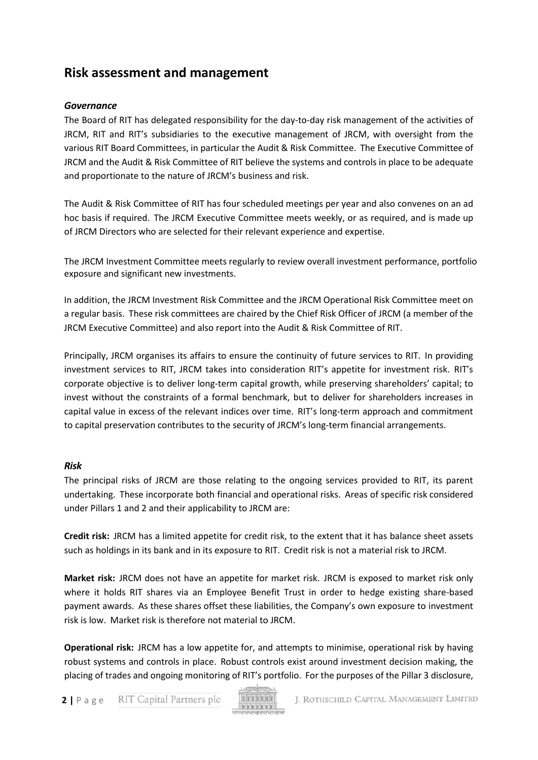## **Risk assessment and management**

## *Governance*

The Board of RIT has delegated responsibility for the day‐to‐day risk management of the activities of JRCM, RIT and RIT's subsidiaries to the executive management of JRCM, with oversight from the various RIT Board Committees, in particular the Audit & Risk Committee. The Executive Committee of JRCM and the Audit & Risk Committee of RIT believe the systems and controls in place to be adequate and proportionate to the nature of JRCM's business and risk.

The Audit & Risk Committee of RIT has four scheduled meetings per year and also convenes on an ad hoc basis if required. The JRCM Executive Committee meets weekly, or as required, and is made up of JRCM Directors who are selected for their relevant experience and expertise.

The JRCM Investment Committee meets regularly to review overall investment performance, portfolio exposure and significant new investments.

In addition, the JRCM Investment Risk Committee and the JRCM Operational Risk Committee meet on a regular basis. These risk committees are chaired by the Chief Risk Officer of JRCM (a member of the JRCM Executive Committee) and also report into the Audit & Risk Committee of RIT.

Principally, JRCM organises its affairs to ensure the continuity of future services to RIT. In providing investment services to RIT, JRCM takes into consideration RIT's appetite for investment risk. RIT's corporate objective is to deliver long-term capital growth, while preserving shareholders' capital; to invest without the constraints of a formal benchmark, but to deliver for shareholders increases in capital value in excess of the relevant indices over time. RIT's long-term approach and commitment to capital preservation contributes to the security of JRCM's long-term financial arrangements.

#### *Risk*

The principal risks of JRCM are those relating to the ongoing services provided to RIT, its parent undertaking. These incorporate both financial and operational risks. Areas of specific risk considered under Pillars 1 and 2 and their applicability to JRCM are:

**Credit risk:** JRCM has a limited appetite for credit risk, to the extent that it has balance sheet assets such as holdings in its bank and in its exposure to RIT. Credit risk is not a material risk to JRCM.

**Market risk:** JRCM does not have an appetite for market risk. JRCM is exposed to market risk only where it holds RIT shares via an Employee Benefit Trust in order to hedge existing share-based payment awards. As these shares offset these liabilities, the Company's own exposure to investment risk is low. Market risk is therefore not material to JRCM.

**Operational risk:** JRCM has a low appetite for, and attempts to minimise, operational risk by having robust systems and controls in place. Robust controls exist around investment decision making, the placing of trades and ongoing monitoring of RIT's portfolio. For the purposes of the Pillar 3 disclosure,

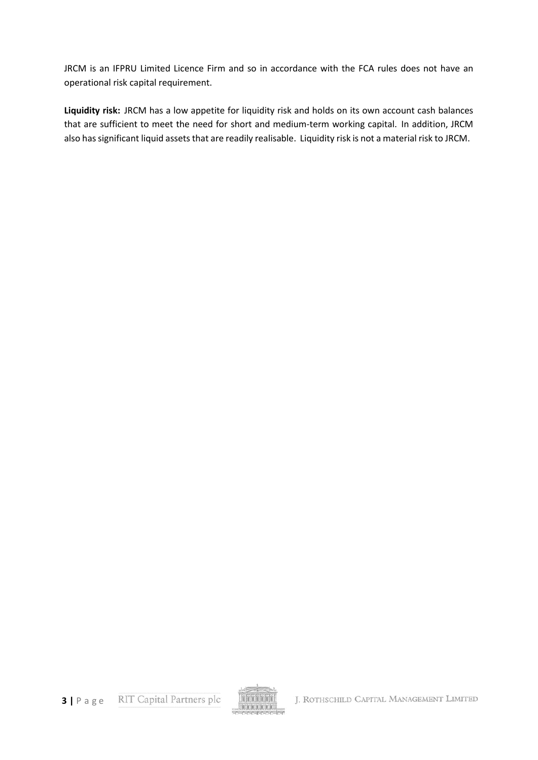JRCM is an IFPRU Limited Licence Firm and so in accordance with the FCA rules does not have an operational risk capital requirement.

**Liquidity risk:** JRCM has a low appetite for liquidity risk and holds on its own account cash balances that are sufficient to meet the need for short and medium‐term working capital. In addition, JRCM also has significant liquid assets that are readily realisable. Liquidity risk is not a material risk to JRCM.

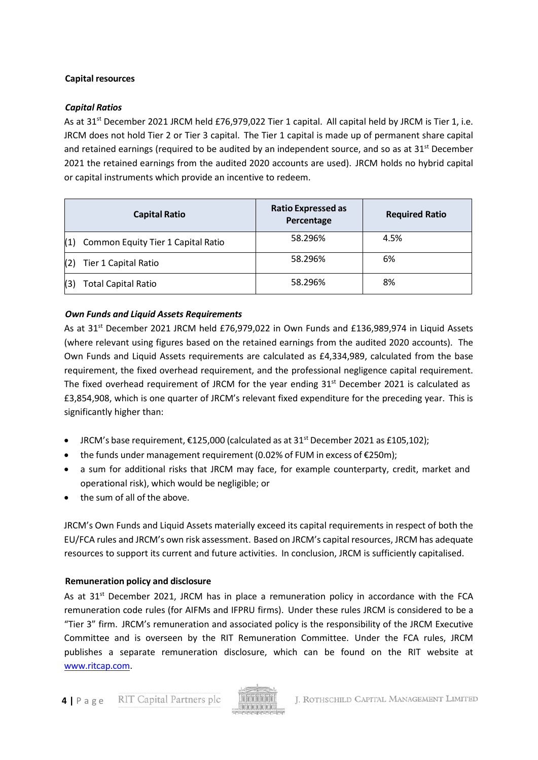## **Capital resources**

#### *Capital Ratios*

As at 31<sup>st</sup> December 2021 JRCM held £76,979,022 Tier 1 capital. All capital held by JRCM is Tier 1, i.e. JRCM does not hold Tier 2 or Tier 3 capital. The Tier 1 capital is made up of permanent share capital and retained earnings (required to be audited by an independent source, and so as at  $31<sup>st</sup>$  December 2021 the retained earnings from the audited 2020 accounts are used). JRCM holds no hybrid capital or capital instruments which provide an incentive to redeem.

|     | <b>Capital Ratio</b>               | <b>Ratio Expressed as</b><br>Percentage | <b>Required Ratio</b> |
|-----|------------------------------------|-----------------------------------------|-----------------------|
| (1) | Common Equity Tier 1 Capital Ratio | 58.296%                                 | 4.5%                  |
| (2) | Tier 1 Capital Ratio               | 58.296%                                 | 6%                    |
| (3) | <b>Total Capital Ratio</b>         | 58.296%                                 | 8%                    |

## *Own Funds and Liquid Assets Requirements*

As at  $31^{st}$  December 2021 JRCM held £76,979,022 in Own Funds and £136,989,974 in Liquid Assets (where relevant using figures based on the retained earnings from the audited 2020 accounts). The Own Funds and Liquid Assets requirements are calculated as £4,334,989, calculated from the base requirement, the fixed overhead requirement, and the professional negligence capital requirement. The fixed overhead requirement of JRCM for the year ending  $31<sup>st</sup>$  December 2021 is calculated as £3,854,908, which is one quarter of JRCM's relevant fixed expenditure for the preceding year. This is significantly higher than:

- JRCM's base requirement,  $£125,000$  (calculated as at  $31<sup>st</sup>$  December 2021 as £105,102);
- the funds under management requirement (0.02% of FUM in excess of €250m);
- a sum for additional risks that JRCM may face, for example counterparty, credit, market and operational risk), which would be negligible; or
- the sum of all of the above.

JRCM's Own Funds and Liquid Assets materially exceed its capital requirements in respect of both the EU/FCA rules and JRCM's own risk assessment. Based on JRCM's capital resources, JRCM has adequate resources to support its current and future activities. In conclusion, JRCM is sufficiently capitalised.

#### **Remuneration policy and disclosure**

As at  $31<sup>st</sup>$  December 2021, JRCM has in place a remuneration policy in accordance with the FCA remuneration code rules (for AIFMs and IFPRU firms). Under these rules JRCM is considered to be a "Tier 3" firm. JRCM's remuneration and associated policy is the responsibility of the JRCM Executive Committee and is overseen by the RIT Remuneration Committee. Under the FCA rules, JRCM publishes a separate remuneration disclosure, which can be found on the RIT website at [www.ritcap.com.](http://www.ritcap.com/)